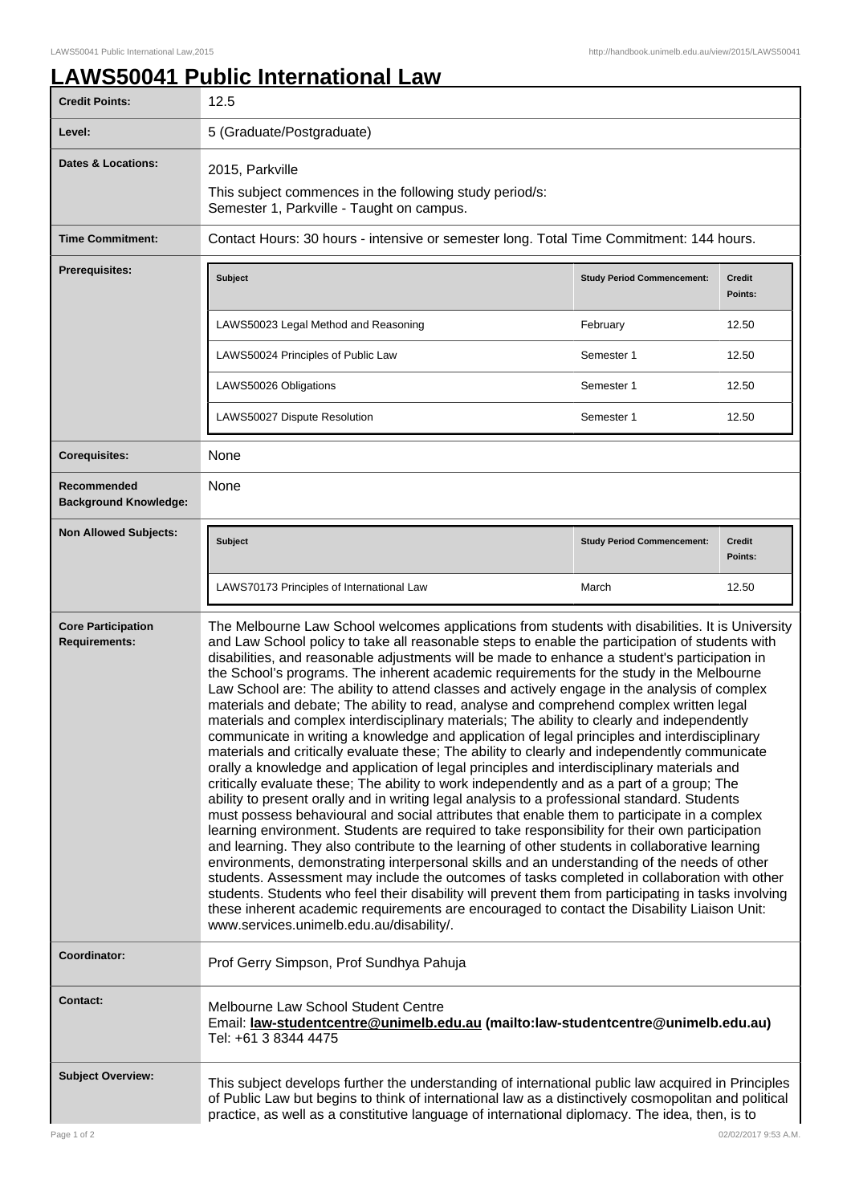## **LAWS50041 Public International Law**

| Level:<br><b>Dates &amp; Locations:</b>           |                                                                                                                                                                                                                                                                                                                                                                                                                                                                                                                                                                                                                                                                                                                                                                                                                                                                                                                                                                                                                                                                                                                                                                                                                                                                                                                                                                                                                                                                                                                                                                                                                                                                                                                                                                                                                                                                                                                                              |                                   |                           |  |  |
|---------------------------------------------------|----------------------------------------------------------------------------------------------------------------------------------------------------------------------------------------------------------------------------------------------------------------------------------------------------------------------------------------------------------------------------------------------------------------------------------------------------------------------------------------------------------------------------------------------------------------------------------------------------------------------------------------------------------------------------------------------------------------------------------------------------------------------------------------------------------------------------------------------------------------------------------------------------------------------------------------------------------------------------------------------------------------------------------------------------------------------------------------------------------------------------------------------------------------------------------------------------------------------------------------------------------------------------------------------------------------------------------------------------------------------------------------------------------------------------------------------------------------------------------------------------------------------------------------------------------------------------------------------------------------------------------------------------------------------------------------------------------------------------------------------------------------------------------------------------------------------------------------------------------------------------------------------------------------------------------------------|-----------------------------------|---------------------------|--|--|
|                                                   |                                                                                                                                                                                                                                                                                                                                                                                                                                                                                                                                                                                                                                                                                                                                                                                                                                                                                                                                                                                                                                                                                                                                                                                                                                                                                                                                                                                                                                                                                                                                                                                                                                                                                                                                                                                                                                                                                                                                              |                                   | 5 (Graduate/Postgraduate) |  |  |
|                                                   | 2015, Parkville<br>This subject commences in the following study period/s:<br>Semester 1, Parkville - Taught on campus.                                                                                                                                                                                                                                                                                                                                                                                                                                                                                                                                                                                                                                                                                                                                                                                                                                                                                                                                                                                                                                                                                                                                                                                                                                                                                                                                                                                                                                                                                                                                                                                                                                                                                                                                                                                                                      |                                   |                           |  |  |
| <b>Time Commitment:</b>                           | Contact Hours: 30 hours - intensive or semester long. Total Time Commitment: 144 hours.                                                                                                                                                                                                                                                                                                                                                                                                                                                                                                                                                                                                                                                                                                                                                                                                                                                                                                                                                                                                                                                                                                                                                                                                                                                                                                                                                                                                                                                                                                                                                                                                                                                                                                                                                                                                                                                      |                                   |                           |  |  |
| <b>Prerequisites:</b>                             | Subject                                                                                                                                                                                                                                                                                                                                                                                                                                                                                                                                                                                                                                                                                                                                                                                                                                                                                                                                                                                                                                                                                                                                                                                                                                                                                                                                                                                                                                                                                                                                                                                                                                                                                                                                                                                                                                                                                                                                      | <b>Study Period Commencement:</b> | <b>Credit</b><br>Points:  |  |  |
|                                                   | LAWS50023 Legal Method and Reasoning                                                                                                                                                                                                                                                                                                                                                                                                                                                                                                                                                                                                                                                                                                                                                                                                                                                                                                                                                                                                                                                                                                                                                                                                                                                                                                                                                                                                                                                                                                                                                                                                                                                                                                                                                                                                                                                                                                         | February                          | 12.50                     |  |  |
|                                                   | LAWS50024 Principles of Public Law                                                                                                                                                                                                                                                                                                                                                                                                                                                                                                                                                                                                                                                                                                                                                                                                                                                                                                                                                                                                                                                                                                                                                                                                                                                                                                                                                                                                                                                                                                                                                                                                                                                                                                                                                                                                                                                                                                           | Semester 1                        | 12.50                     |  |  |
|                                                   | LAWS50026 Obligations                                                                                                                                                                                                                                                                                                                                                                                                                                                                                                                                                                                                                                                                                                                                                                                                                                                                                                                                                                                                                                                                                                                                                                                                                                                                                                                                                                                                                                                                                                                                                                                                                                                                                                                                                                                                                                                                                                                        | Semester 1                        | 12.50                     |  |  |
|                                                   | LAWS50027 Dispute Resolution                                                                                                                                                                                                                                                                                                                                                                                                                                                                                                                                                                                                                                                                                                                                                                                                                                                                                                                                                                                                                                                                                                                                                                                                                                                                                                                                                                                                                                                                                                                                                                                                                                                                                                                                                                                                                                                                                                                 | Semester 1                        | 12.50                     |  |  |
| <b>Corequisites:</b>                              | None                                                                                                                                                                                                                                                                                                                                                                                                                                                                                                                                                                                                                                                                                                                                                                                                                                                                                                                                                                                                                                                                                                                                                                                                                                                                                                                                                                                                                                                                                                                                                                                                                                                                                                                                                                                                                                                                                                                                         |                                   |                           |  |  |
| Recommended<br><b>Background Knowledge:</b>       | None                                                                                                                                                                                                                                                                                                                                                                                                                                                                                                                                                                                                                                                                                                                                                                                                                                                                                                                                                                                                                                                                                                                                                                                                                                                                                                                                                                                                                                                                                                                                                                                                                                                                                                                                                                                                                                                                                                                                         |                                   |                           |  |  |
| <b>Non Allowed Subjects:</b>                      | Subject                                                                                                                                                                                                                                                                                                                                                                                                                                                                                                                                                                                                                                                                                                                                                                                                                                                                                                                                                                                                                                                                                                                                                                                                                                                                                                                                                                                                                                                                                                                                                                                                                                                                                                                                                                                                                                                                                                                                      | <b>Study Period Commencement:</b> | <b>Credit</b><br>Points:  |  |  |
|                                                   | LAWS70173 Principles of International Law                                                                                                                                                                                                                                                                                                                                                                                                                                                                                                                                                                                                                                                                                                                                                                                                                                                                                                                                                                                                                                                                                                                                                                                                                                                                                                                                                                                                                                                                                                                                                                                                                                                                                                                                                                                                                                                                                                    | March                             | 12.50                     |  |  |
| <b>Core Participation</b><br><b>Requirements:</b> | The Melbourne Law School welcomes applications from students with disabilities. It is University<br>and Law School policy to take all reasonable steps to enable the participation of students with<br>disabilities, and reasonable adjustments will be made to enhance a student's participation in<br>the School's programs. The inherent academic requirements for the study in the Melbourne<br>Law School are: The ability to attend classes and actively engage in the analysis of complex<br>materials and debate; The ability to read, analyse and comprehend complex written legal<br>materials and complex interdisciplinary materials; The ability to clearly and independently<br>communicate in writing a knowledge and application of legal principles and interdisciplinary<br>materials and critically evaluate these; The ability to clearly and independently communicate<br>orally a knowledge and application of legal principles and interdisciplinary materials and<br>critically evaluate these; The ability to work independently and as a part of a group; The<br>ability to present orally and in writing legal analysis to a professional standard. Students<br>must possess behavioural and social attributes that enable them to participate in a complex<br>learning environment. Students are required to take responsibility for their own participation<br>and learning. They also contribute to the learning of other students in collaborative learning<br>environments, demonstrating interpersonal skills and an understanding of the needs of other<br>students. Assessment may include the outcomes of tasks completed in collaboration with other<br>students. Students who feel their disability will prevent them from participating in tasks involving<br>these inherent academic requirements are encouraged to contact the Disability Liaison Unit:<br>www.services.unimelb.edu.au/disability/. |                                   |                           |  |  |
| Coordinator:                                      | Prof Gerry Simpson, Prof Sundhya Pahuja                                                                                                                                                                                                                                                                                                                                                                                                                                                                                                                                                                                                                                                                                                                                                                                                                                                                                                                                                                                                                                                                                                                                                                                                                                                                                                                                                                                                                                                                                                                                                                                                                                                                                                                                                                                                                                                                                                      |                                   |                           |  |  |
| <b>Contact:</b>                                   | Melbourne Law School Student Centre<br>Email: law-studentcentre@unimelb.edu.au (mailto:law-studentcentre@unimelb.edu.au)<br>Tel: +61 3 8344 4475                                                                                                                                                                                                                                                                                                                                                                                                                                                                                                                                                                                                                                                                                                                                                                                                                                                                                                                                                                                                                                                                                                                                                                                                                                                                                                                                                                                                                                                                                                                                                                                                                                                                                                                                                                                             |                                   |                           |  |  |
| <b>Subject Overview:</b><br>Page 1 of 2           | This subject develops further the understanding of international public law acquired in Principles<br>of Public Law but begins to think of international law as a distinctively cosmopolitan and political<br>practice, as well as a constitutive language of international diplomacy. The idea, then, is to<br>02/02/2017 9:53 A.M.                                                                                                                                                                                                                                                                                                                                                                                                                                                                                                                                                                                                                                                                                                                                                                                                                                                                                                                                                                                                                                                                                                                                                                                                                                                                                                                                                                                                                                                                                                                                                                                                         |                                   |                           |  |  |